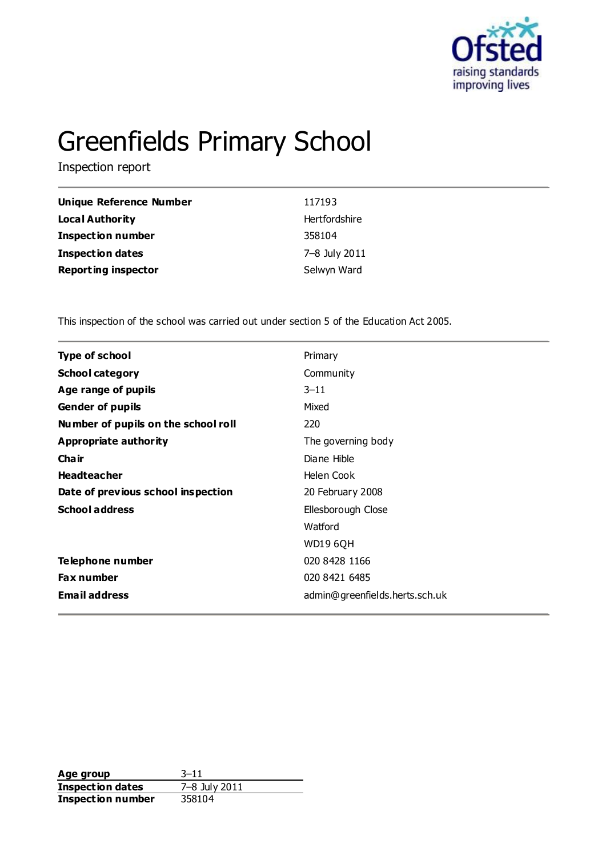

# Greenfields Primary School

Inspection report

| Unique Reference Number    | 117193        |
|----------------------------|---------------|
| <b>Local Authority</b>     | Hertfordshire |
| <b>Inspection number</b>   | 358104        |
| <b>Inspection dates</b>    | 7-8 July 2011 |
| <b>Reporting inspector</b> | Selwyn Ward   |

This inspection of the school was carried out under section 5 of the Education Act 2005.

| Type of school                      | Primary                        |
|-------------------------------------|--------------------------------|
| <b>School category</b>              | Community                      |
| Age range of pupils                 | $3 - 11$                       |
| <b>Gender of pupils</b>             | Mixed                          |
| Number of pupils on the school roll | 220                            |
| <b>Appropriate authority</b>        | The governing body             |
| Cha ir                              | Diane Hible                    |
| <b>Headteacher</b>                  | Helen Cook                     |
| Date of previous school inspection  | 20 February 2008               |
| <b>School address</b>               | Ellesborough Close             |
|                                     | Watford                        |
|                                     | <b>WD19 6QH</b>                |
| Telephone number                    | 020 8428 1166                  |
| <b>Fax number</b>                   | 020 8421 6485                  |
| <b>Email address</b>                | admin@greenfields.herts.sch.uk |
|                                     |                                |

**Age group** 3–11<br> **Inspection dates** 7–8 July 2011 **Inspection dates** 7–8 July<br>**Inspection number** 358104 **Inspection number**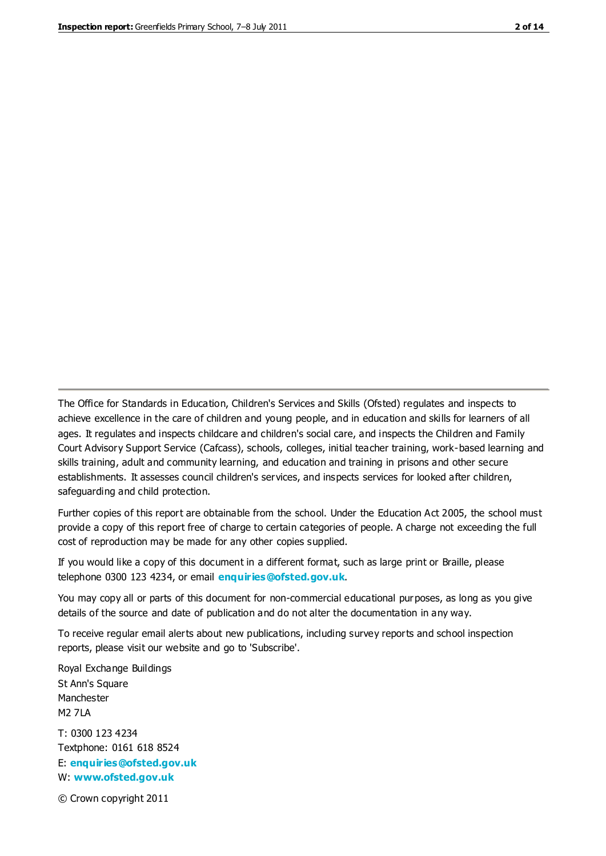The Office for Standards in Education, Children's Services and Skills (Ofsted) regulates and inspects to achieve excellence in the care of children and young people, and in education and skills for learners of all ages. It regulates and inspects childcare and children's social care, and inspects the Children and Family Court Advisory Support Service (Cafcass), schools, colleges, initial teacher training, work-based learning and skills training, adult and community learning, and education and training in prisons and other secure establishments. It assesses council children's services, and inspects services for looked after children, safeguarding and child protection.

Further copies of this report are obtainable from the school. Under the Education Act 2005, the school must provide a copy of this report free of charge to certain categories of people. A charge not exceeding the full cost of reproduction may be made for any other copies supplied.

If you would like a copy of this document in a different format, such as large print or Braille, please telephone 0300 123 4234, or email **[enquiries@ofsted.gov.uk](mailto:enquiries@ofsted.gov.uk)**.

You may copy all or parts of this document for non-commercial educational purposes, as long as you give details of the source and date of publication and do not alter the documentation in any way.

To receive regular email alerts about new publications, including survey reports and school inspection reports, please visit our website and go to 'Subscribe'.

Royal Exchange Buildings St Ann's Square Manchester M2 7LA T: 0300 123 4234 Textphone: 0161 618 8524 E: **[enquiries@ofsted.gov.uk](mailto:enquiries@ofsted.gov.uk)**

W: **[www.ofsted.gov.uk](http://www.ofsted.gov.uk/)**

© Crown copyright 2011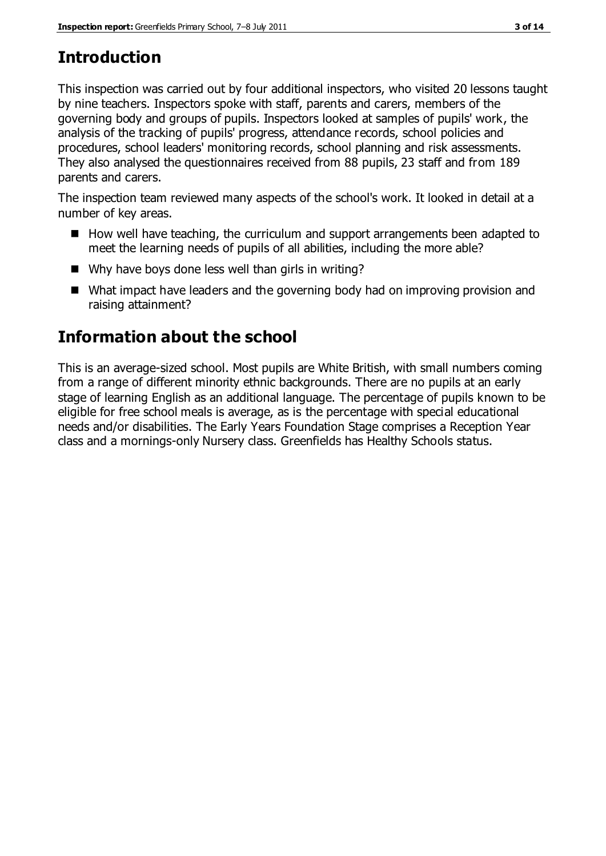## **Introduction**

This inspection was carried out by four additional inspectors, who visited 20 lessons taught by nine teachers. Inspectors spoke with staff, parents and carers, members of the governing body and groups of pupils. Inspectors looked at samples of pupils' work, the analysis of the tracking of pupils' progress, attendance records, school policies and procedures, school leaders' monitoring records, school planning and risk assessments. They also analysed the questionnaires received from 88 pupils, 23 staff and from 189 parents and carers.

The inspection team reviewed many aspects of the school's work. It looked in detail at a number of key areas.

- How well have teaching, the curriculum and support arrangements been adapted to meet the learning needs of pupils of all abilities, including the more able?
- Why have boys done less well than girls in writing?
- What impact have leaders and the governing body had on improving provision and raising attainment?

## **Information about the school**

This is an average-sized school. Most pupils are White British, with small numbers coming from a range of different minority ethnic backgrounds. There are no pupils at an early stage of learning English as an additional language. The percentage of pupils known to be eligible for free school meals is average, as is the percentage with special educational needs and/or disabilities. The Early Years Foundation Stage comprises a Reception Year class and a mornings-only Nursery class. Greenfields has Healthy Schools status.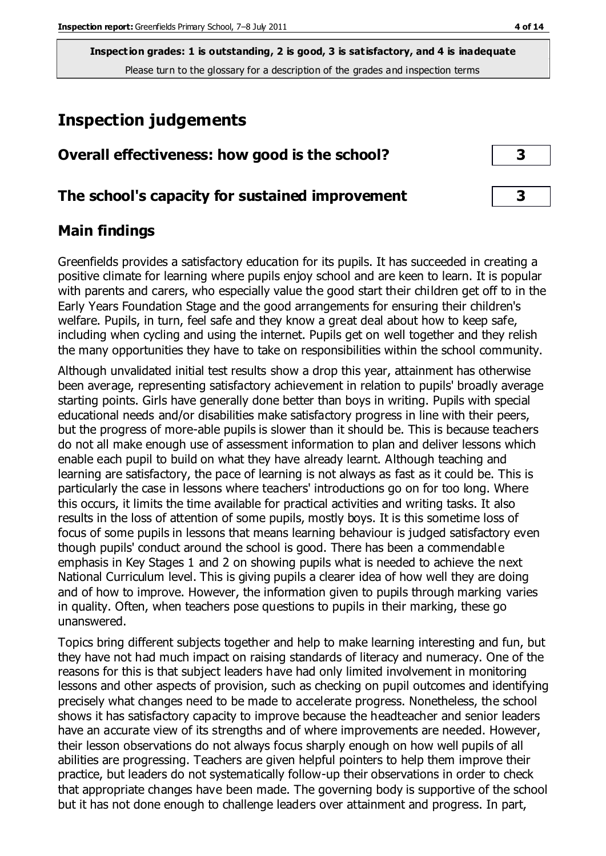**Inspection grades: 1 is outstanding, 2 is good, 3 is satisfactory, and 4 is inadequate** Please turn to the glossary for a description of the grades and inspection terms

## **Inspection judgements**

| Overall effectiveness: how good is the school? |
|------------------------------------------------|
|                                                |

## **The school's capacity for sustained improvement 3**

## **Main findings**

Greenfields provides a satisfactory education for its pupils. It has succeeded in creating a positive climate for learning where pupils enjoy school and are keen to learn. It is popular with parents and carers, who especially value the good start their children get off to in the Early Years Foundation Stage and the good arrangements for ensuring their children's welfare. Pupils, in turn, feel safe and they know a great deal about how to keep safe, including when cycling and using the internet. Pupils get on well together and they relish the many opportunities they have to take on responsibilities within the school community.

Although unvalidated initial test results show a drop this year, attainment has otherwise been average, representing satisfactory achievement in relation to pupils' broadly average starting points. Girls have generally done better than boys in writing. Pupils with special educational needs and/or disabilities make satisfactory progress in line with their peers, but the progress of more-able pupils is slower than it should be. This is because teachers do not all make enough use of assessment information to plan and deliver lessons which enable each pupil to build on what they have already learnt. Although teaching and learning are satisfactory, the pace of learning is not always as fast as it could be. This is particularly the case in lessons where teachers' introductions go on for too long. Where this occurs, it limits the time available for practical activities and writing tasks. It also results in the loss of attention of some pupils, mostly boys. It is this sometime loss of focus of some pupils in lessons that means learning behaviour is judged satisfactory even though pupils' conduct around the school is good. There has been a commendable emphasis in Key Stages 1 and 2 on showing pupils what is needed to achieve the next National Curriculum level. This is giving pupils a clearer idea of how well they are doing and of how to improve. However, the information given to pupils through marking varies in quality. Often, when teachers pose questions to pupils in their marking, these go unanswered.

Topics bring different subjects together and help to make learning interesting and fun, but they have not had much impact on raising standards of literacy and numeracy. One of the reasons for this is that subject leaders have had only limited involvement in monitoring lessons and other aspects of provision, such as checking on pupil outcomes and identifying precisely what changes need to be made to accelerate progress. Nonetheless, the school shows it has satisfactory capacity to improve because the headteacher and senior leaders have an accurate view of its strengths and of where improvements are needed. However, their lesson observations do not always focus sharply enough on how well pupils of all abilities are progressing. Teachers are given helpful pointers to help them improve their practice, but leaders do not systematically follow-up their observations in order to check that appropriate changes have been made. The governing body is supportive of the school but it has not done enough to challenge leaders over attainment and progress. In part,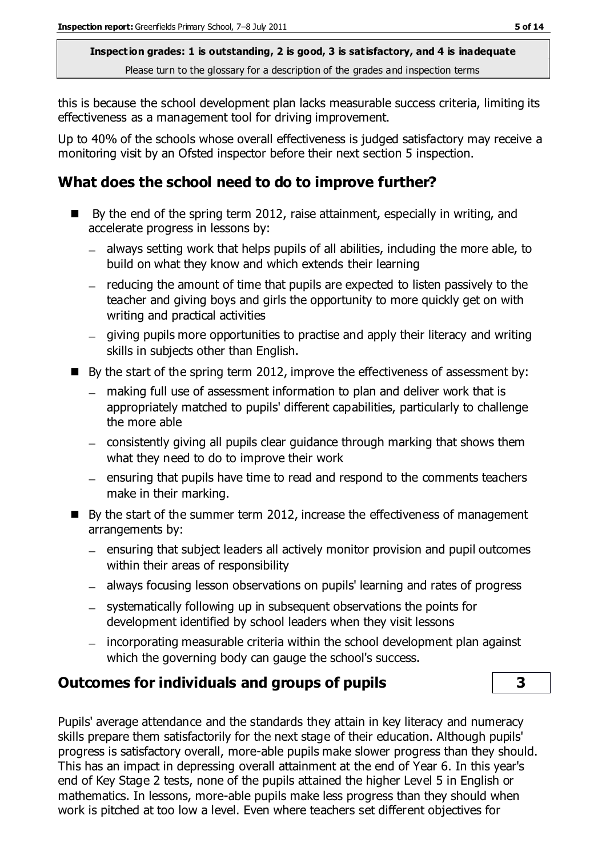**Inspection grades: 1 is outstanding, 2 is good, 3 is satisfactory, and 4 is inadequate** Please turn to the glossary for a description of the grades and inspection terms

this is because the school development plan lacks measurable success criteria, limiting its effectiveness as a management tool for driving improvement.

Up to 40% of the schools whose overall effectiveness is judged satisfactory may receive a monitoring visit by an Ofsted inspector before their next section 5 inspection.

## **What does the school need to do to improve further?**

- $\blacksquare$  By the end of the spring term 2012, raise attainment, especially in writing, and accelerate progress in lessons by:
	- always setting work that helps pupils of all abilities, including the more able, to build on what they know and which extends their learning
	- $-$  reducing the amount of time that pupils are expected to listen passively to the teacher and giving boys and girls the opportunity to more quickly get on with writing and practical activities
	- giving pupils more opportunities to practise and apply their literacy and writing skills in subjects other than English.
- $\blacksquare$  By the start of the spring term 2012, improve the effectiveness of assessment by:
	- making full use of assessment information to plan and deliver work that is appropriately matched to pupils' different capabilities, particularly to challenge the more able
	- consistently giving all pupils clear guidance through marking that shows them what they need to do to improve their work
	- $=$  ensuring that pupils have time to read and respond to the comments teachers make in their marking.
- By the start of the summer term 2012, increase the effectiveness of management arrangements by:
	- ensuring that subject leaders all actively monitor provision and pupil outcomes within their areas of responsibility
	- always focusing lesson observations on pupils' learning and rates of progress
	- systematically following up in subsequent observations the points for development identified by school leaders when they visit lessons
	- incorporating measurable criteria within the school development plan against which the governing body can gauge the school's success.

## **Outcomes for individuals and groups of pupils 3**

Pupils' average attendance and the standards they attain in key literacy and numeracy skills prepare them satisfactorily for the next stage of their education. Although pupils' progress is satisfactory overall, more-able pupils make slower progress than they should. This has an impact in depressing overall attainment at the end of Year 6. In this year's end of Key Stage 2 tests, none of the pupils attained the higher Level 5 in English or mathematics. In lessons, more-able pupils make less progress than they should when work is pitched at too low a level. Even where teachers set different objectives for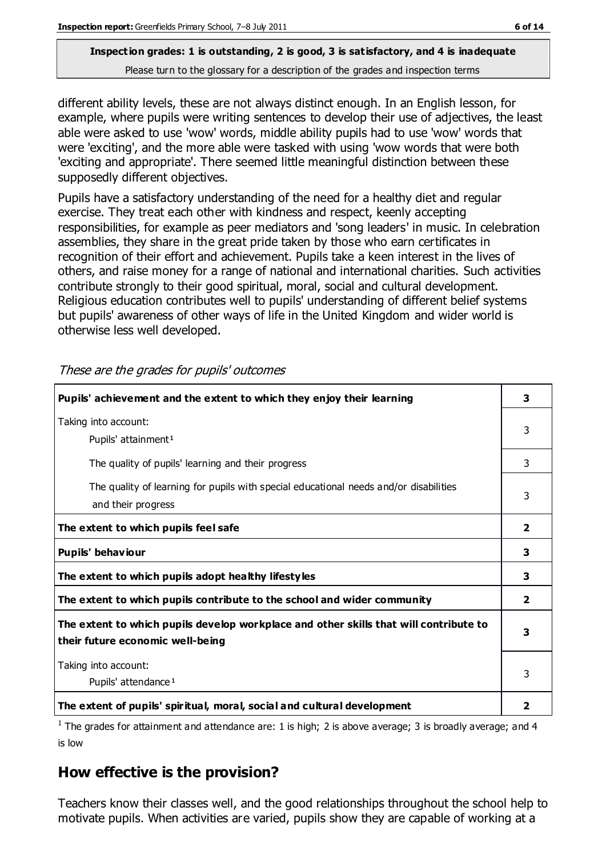## **Inspection grades: 1 is outstanding, 2 is good, 3 is satisfactory, and 4 is inadequate**

Please turn to the glossary for a description of the grades and inspection terms

different ability levels, these are not always distinct enough. In an English lesson, for example, where pupils were writing sentences to develop their use of adjectives, the least able were asked to use 'wow' words, middle ability pupils had to use 'wow' words that were 'exciting', and the more able were tasked with using 'wow words that were both 'exciting and appropriate'. There seemed little meaningful distinction between these supposedly different objectives.

Pupils have a satisfactory understanding of the need for a healthy diet and regular exercise. They treat each other with kindness and respect, keenly accepting responsibilities, for example as peer mediators and 'song leaders' in music. In celebration assemblies, they share in the great pride taken by those who earn certificates in recognition of their effort and achievement. Pupils take a keen interest in the lives of others, and raise money for a range of national and international charities. Such activities contribute strongly to their good spiritual, moral, social and cultural development. Religious education contributes well to pupils' understanding of different belief systems but pupils' awareness of other ways of life in the United Kingdom and wider world is otherwise less well developed.

| Pupils' achievement and the extent to which they enjoy their learning                                                     |   |
|---------------------------------------------------------------------------------------------------------------------------|---|
| Taking into account:<br>Pupils' attainment <sup>1</sup>                                                                   |   |
| The quality of pupils' learning and their progress                                                                        | 3 |
| The quality of learning for pupils with special educational needs and/or disabilities<br>and their progress               | 3 |
| The extent to which pupils feel safe                                                                                      |   |
| Pupils' behaviour                                                                                                         |   |
| The extent to which pupils adopt healthy lifestyles                                                                       | 3 |
| The extent to which pupils contribute to the school and wider community                                                   |   |
| The extent to which pupils develop workplace and other skills that will contribute to<br>their future economic well-being |   |
| Taking into account:<br>Pupils' attendance <sup>1</sup>                                                                   |   |
| The extent of pupils' spiritual, moral, social and cultural development                                                   |   |

These are the grades for pupils' outcomes

<sup>1</sup> The grades for attainment and attendance are: 1 is high; 2 is above average; 3 is broadly average; and 4 is low

## **How effective is the provision?**

Teachers know their classes well, and the good relationships throughout the school help to motivate pupils. When activities are varied, pupils show they are capable of working at a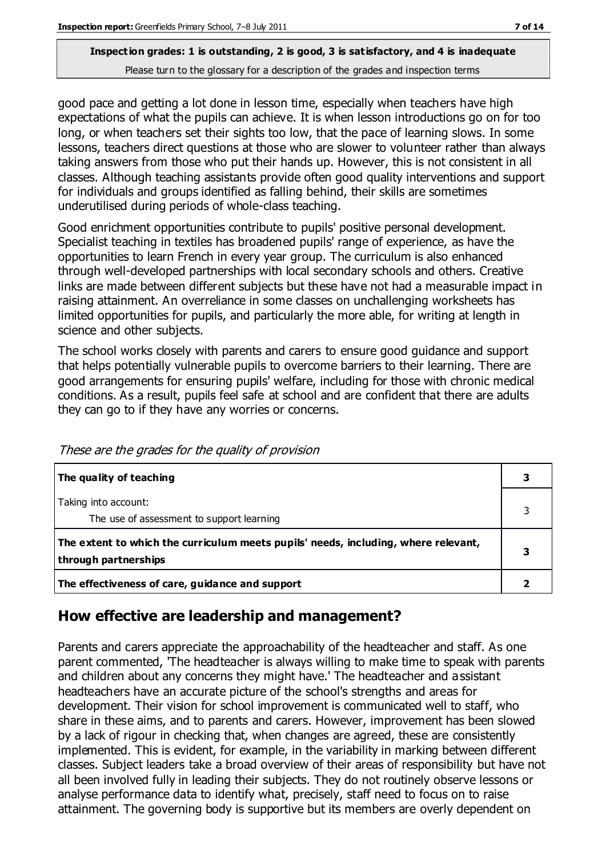#### **Inspection grades: 1 is outstanding, 2 is good, 3 is satisfactory, and 4 is inadequate** Please turn to the glossary for a description of the grades and inspection terms

good pace and getting a lot done in lesson time, especially when teachers have high expectations of what the pupils can achieve. It is when lesson introductions go on for too long, or when teachers set their sights too low, that the pace of learning slows. In some lessons, teachers direct questions at those who are slower to volunteer rather than always taking answers from those who put their hands up. However, this is not consistent in all classes. Although teaching assistants provide often good quality interventions and support for individuals and groups identified as falling behind, their skills are sometimes underutilised during periods of whole-class teaching.

Good enrichment opportunities contribute to pupils' positive personal development. Specialist teaching in textiles has broadened pupils' range of experience, as have the opportunities to learn French in every year group. The curriculum is also enhanced through well-developed partnerships with local secondary schools and others. Creative links are made between different subjects but these have not had a measurable impact in raising attainment. An overreliance in some classes on unchallenging worksheets has limited opportunities for pupils, and particularly the more able, for writing at length in science and other subjects.

The school works closely with parents and carers to ensure good guidance and support that helps potentially vulnerable pupils to overcome barriers to their learning. There are good arrangements for ensuring pupils' welfare, including for those with chronic medical conditions. As a result, pupils feel safe at school and are confident that there are adults they can go to if they have any worries or concerns.

| The quality of teaching                                                                                    |  |
|------------------------------------------------------------------------------------------------------------|--|
| Taking into account:<br>The use of assessment to support learning                                          |  |
| The extent to which the curriculum meets pupils' needs, including, where relevant,<br>through partnerships |  |
| The effectiveness of care, guidance and support                                                            |  |

These are the grades for the quality of provision

## **How effective are leadership and management?**

Parents and carers appreciate the approachability of the headteacher and staff. As one parent commented, 'The headteacher is always willing to make time to speak with parents and children about any concerns they might have.' The headteacher and assistant headteachers have an accurate picture of the school's strengths and areas for development. Their vision for school improvement is communicated well to staff, who share in these aims, and to parents and carers. However, improvement has been slowed by a lack of rigour in checking that, when changes are agreed, these are consistently implemented. This is evident, for example, in the variability in marking between different classes. Subject leaders take a broad overview of their areas of responsibility but have not all been involved fully in leading their subjects. They do not routinely observe lessons or analyse performance data to identify what, precisely, staff need to focus on to raise attainment. The governing body is supportive but its members are overly dependent on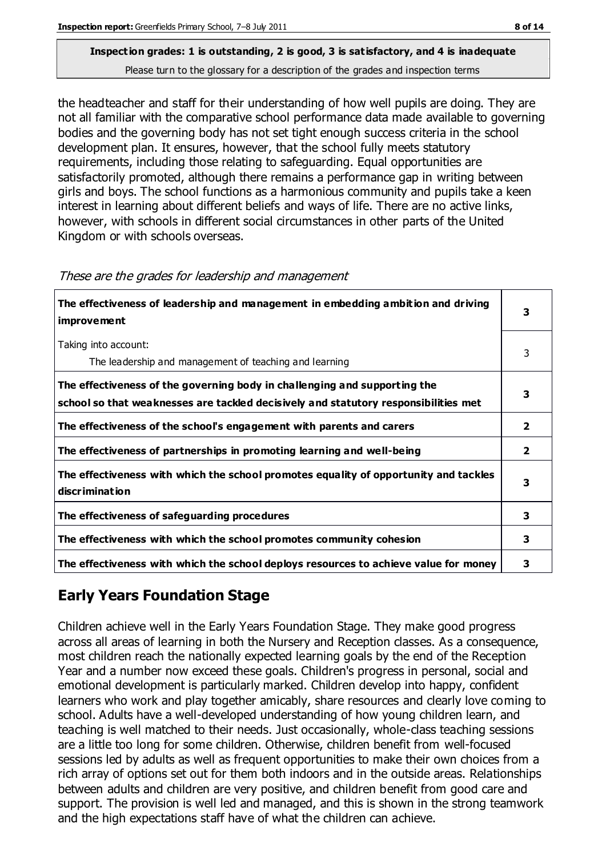## **Inspection grades: 1 is outstanding, 2 is good, 3 is satisfactory, and 4 is inadequate**

Please turn to the glossary for a description of the grades and inspection terms

the headteacher and staff for their understanding of how well pupils are doing. They are not all familiar with the comparative school performance data made available to governing bodies and the governing body has not set tight enough success criteria in the school development plan. It ensures, however, that the school fully meets statutory requirements, including those relating to safeguarding. Equal opportunities are satisfactorily promoted, although there remains a performance gap in writing between girls and boys. The school functions as a harmonious community and pupils take a keen interest in learning about different beliefs and ways of life. There are no active links, however, with schools in different social circumstances in other parts of the United Kingdom or with schools overseas.

| The effectiveness of leadership and management in embedding ambition and driving<br>improvement                                                                  | 3              |
|------------------------------------------------------------------------------------------------------------------------------------------------------------------|----------------|
| Taking into account:<br>The leadership and management of teaching and learning                                                                                   | 3              |
| The effectiveness of the governing body in challenging and supporting the<br>school so that weaknesses are tackled decisively and statutory responsibilities met | 3              |
| The effectiveness of the school's engagement with parents and carers                                                                                             | $\overline{2}$ |
| The effectiveness of partnerships in promoting learning and well-being                                                                                           | $\overline{2}$ |
| The effectiveness with which the school promotes equality of opportunity and tackles<br>discrimination                                                           | 3              |
| The effectiveness of safeguarding procedures                                                                                                                     | 3              |
| The effectiveness with which the school promotes community cohesion                                                                                              | 3              |
| The effectiveness with which the school deploys resources to achieve value for money                                                                             | 3              |

#### These are the grades for leadership and management

## **Early Years Foundation Stage**

Children achieve well in the Early Years Foundation Stage. They make good progress across all areas of learning in both the Nursery and Reception classes. As a consequence, most children reach the nationally expected learning goals by the end of the Reception Year and a number now exceed these goals. Children's progress in personal, social and emotional development is particularly marked. Children develop into happy, confident learners who work and play together amicably, share resources and clearly love coming to school. Adults have a well-developed understanding of how young children learn, and teaching is well matched to their needs. Just occasionally, whole-class teaching sessions are a little too long for some children. Otherwise, children benefit from well-focused sessions led by adults as well as frequent opportunities to make their own choices from a rich array of options set out for them both indoors and in the outside areas. Relationships between adults and children are very positive, and children benefit from good care and support. The provision is well led and managed, and this is shown in the strong teamwork and the high expectations staff have of what the children can achieve.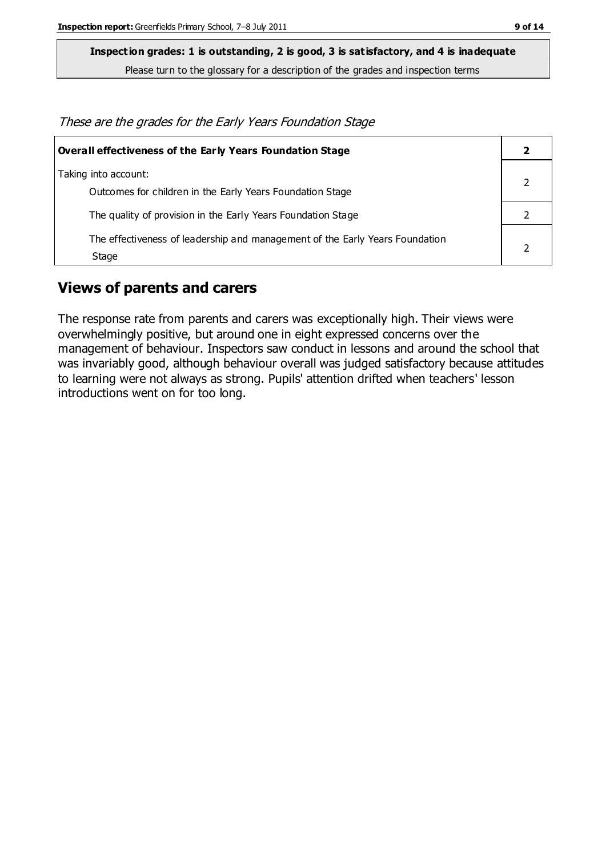**Inspection grades: 1 is outstanding, 2 is good, 3 is satisfactory, and 4 is inadequate**

Please turn to the glossary for a description of the grades and inspection terms

These are the grades for the Early Years Foundation Stage

| <b>Overall effectiveness of the Early Years Foundation Stage</b>                      |  |
|---------------------------------------------------------------------------------------|--|
| Taking into account:<br>Outcomes for children in the Early Years Foundation Stage     |  |
| The quality of provision in the Early Years Foundation Stage                          |  |
| The effectiveness of leadership and management of the Early Years Foundation<br>Stage |  |

## **Views of parents and carers**

The response rate from parents and carers was exceptionally high. Their views were overwhelmingly positive, but around one in eight expressed concerns over the management of behaviour. Inspectors saw conduct in lessons and around the school that was invariably good, although behaviour overall was judged satisfactory because attitudes to learning were not always as strong. Pupils' attention drifted when teachers' lesson introductions went on for too long.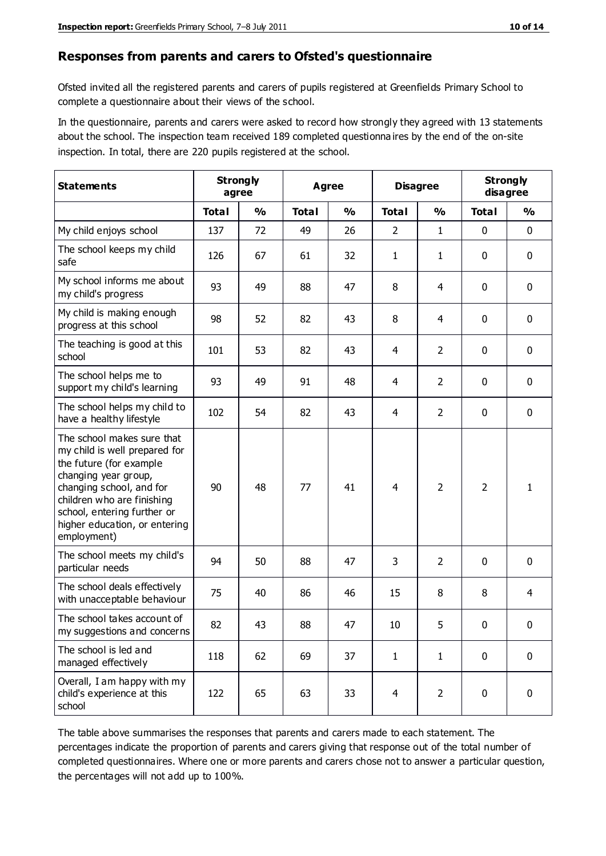#### **Responses from parents and carers to Ofsted's questionnaire**

Ofsted invited all the registered parents and carers of pupils registered at Greenfields Primary School to complete a questionnaire about their views of the school.

In the questionnaire, parents and carers were asked to record how strongly they agreed with 13 statements about the school. The inspection team received 189 completed questionna ires by the end of the on-site inspection. In total, there are 220 pupils registered at the school.

| <b>Statements</b>                                                                                                                                                                                                                                       | <b>Strongly</b><br>agree |               | <b>Agree</b> |               |                | <b>Disagree</b> |              | <b>Strongly</b><br>disagree |  |
|---------------------------------------------------------------------------------------------------------------------------------------------------------------------------------------------------------------------------------------------------------|--------------------------|---------------|--------------|---------------|----------------|-----------------|--------------|-----------------------------|--|
|                                                                                                                                                                                                                                                         | <b>Total</b>             | $\frac{0}{0}$ | <b>Total</b> | $\frac{0}{0}$ | <b>Total</b>   | $\frac{0}{0}$   | <b>Total</b> | %                           |  |
| My child enjoys school                                                                                                                                                                                                                                  | 137                      | 72            | 49           | 26            | 2              | $\mathbf{1}$    | $\mathbf 0$  | $\mathbf 0$                 |  |
| The school keeps my child<br>safe                                                                                                                                                                                                                       | 126                      | 67            | 61           | 32            | $\mathbf{1}$   | $\mathbf{1}$    | 0            | $\mathbf 0$                 |  |
| My school informs me about<br>my child's progress                                                                                                                                                                                                       | 93                       | 49            | 88           | 47            | 8              | 4               | $\mathbf 0$  | $\mathbf 0$                 |  |
| My child is making enough<br>progress at this school                                                                                                                                                                                                    | 98                       | 52            | 82           | 43            | 8              | 4               | $\mathbf 0$  | $\mathbf 0$                 |  |
| The teaching is good at this<br>school                                                                                                                                                                                                                  | 101                      | 53            | 82           | 43            | 4              | $\overline{2}$  | $\mathbf 0$  | $\mathbf 0$                 |  |
| The school helps me to<br>support my child's learning                                                                                                                                                                                                   | 93                       | 49            | 91           | 48            | 4              | $\overline{2}$  | $\mathbf 0$  | $\mathbf 0$                 |  |
| The school helps my child to<br>have a healthy lifestyle                                                                                                                                                                                                | 102                      | 54            | 82           | 43            | 4              | $\overline{2}$  | $\mathbf 0$  | $\mathbf 0$                 |  |
| The school makes sure that<br>my child is well prepared for<br>the future (for example<br>changing year group,<br>changing school, and for<br>children who are finishing<br>school, entering further or<br>higher education, or entering<br>employment) | 90                       | 48            | 77           | 41            | $\overline{4}$ | $\overline{2}$  | 2            | 1                           |  |
| The school meets my child's<br>particular needs                                                                                                                                                                                                         | 94                       | 50            | 88           | 47            | 3              | $\overline{2}$  | $\mathbf 0$  | $\mathbf 0$                 |  |
| The school deals effectively<br>with unacceptable behaviour                                                                                                                                                                                             | 75                       | 40            | 86           | 46            | 15             | 8               | 8            | 4                           |  |
| The school takes account of<br>my suggestions and concerns                                                                                                                                                                                              | 82                       | 43            | 88           | 47            | $10\,$         | 5               | 0            | 0                           |  |
| The school is led and<br>managed effectively                                                                                                                                                                                                            | 118                      | 62            | 69           | 37            | $\mathbf{1}$   | $\mathbf{1}$    | $\mathbf 0$  | $\mathbf 0$                 |  |
| Overall, I am happy with my<br>child's experience at this<br>school                                                                                                                                                                                     | 122                      | 65            | 63           | 33            | $\overline{4}$ | $\overline{2}$  | $\mathbf 0$  | $\mathbf 0$                 |  |

The table above summarises the responses that parents and carers made to each statement. The percentages indicate the proportion of parents and carers giving that response out of the total number of completed questionnaires. Where one or more parents and carers chose not to answer a particular question, the percentages will not add up to 100%.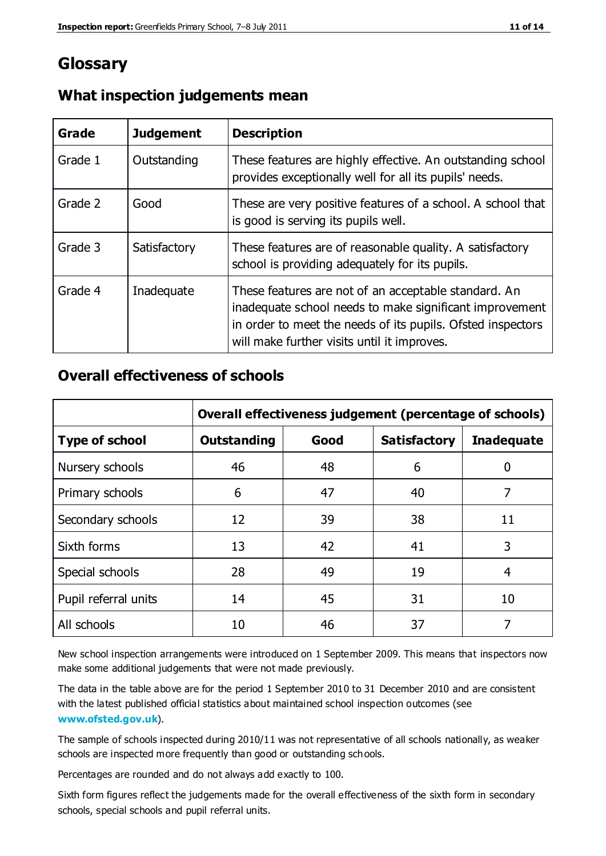## **Glossary**

| Grade   | <b>Judgement</b> | <b>Description</b>                                                                                                                                                                                                            |
|---------|------------------|-------------------------------------------------------------------------------------------------------------------------------------------------------------------------------------------------------------------------------|
| Grade 1 | Outstanding      | These features are highly effective. An outstanding school<br>provides exceptionally well for all its pupils' needs.                                                                                                          |
| Grade 2 | Good             | These are very positive features of a school. A school that<br>is good is serving its pupils well.                                                                                                                            |
| Grade 3 | Satisfactory     | These features are of reasonable quality. A satisfactory<br>school is providing adequately for its pupils.                                                                                                                    |
| Grade 4 | Inadequate       | These features are not of an acceptable standard. An<br>inadequate school needs to make significant improvement<br>in order to meet the needs of its pupils. Ofsted inspectors<br>will make further visits until it improves. |

#### **What inspection judgements mean**

## **Overall effectiveness of schools**

|                       | Overall effectiveness judgement (percentage of schools) |      |                     |                   |
|-----------------------|---------------------------------------------------------|------|---------------------|-------------------|
| <b>Type of school</b> | <b>Outstanding</b>                                      | Good | <b>Satisfactory</b> | <b>Inadequate</b> |
| Nursery schools       | 46                                                      | 48   | 6                   |                   |
| Primary schools       | 6                                                       | 47   | 40                  | 7                 |
| Secondary schools     | 12                                                      | 39   | 38                  | 11                |
| Sixth forms           | 13                                                      | 42   | 41                  | 3                 |
| Special schools       | 28                                                      | 49   | 19                  | 4                 |
| Pupil referral units  | 14                                                      | 45   | 31                  | 10                |
| All schools           | 10                                                      | 46   | 37                  |                   |

New school inspection arrangements were introduced on 1 September 2009. This means that inspectors now make some additional judgements that were not made previously.

The data in the table above are for the period 1 September 2010 to 31 December 2010 and are consistent with the latest published official statistics about maintained school inspection outcomes (see **[www.ofsted.gov.uk](http://www.ofsted.gov.uk/)**).

The sample of schools inspected during 2010/11 was not representative of all schools nationally, as weaker schools are inspected more frequently than good or outstanding schools.

Percentages are rounded and do not always add exactly to 100.

Sixth form figures reflect the judgements made for the overall effectiveness of the sixth form in secondary schools, special schools and pupil referral units.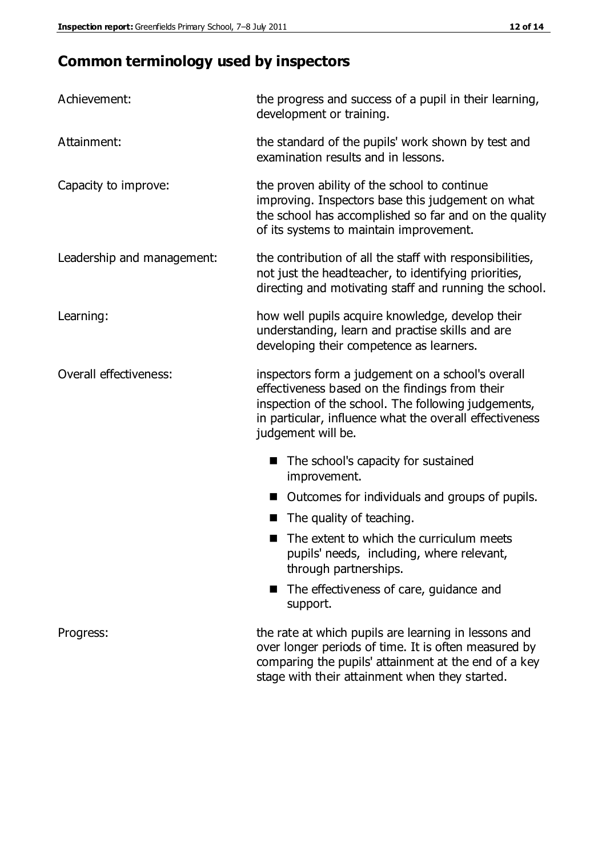## **Common terminology used by inspectors**

| Achievement:                  | the progress and success of a pupil in their learning,<br>development or training.                                                                                                                                                          |
|-------------------------------|---------------------------------------------------------------------------------------------------------------------------------------------------------------------------------------------------------------------------------------------|
| Attainment:                   | the standard of the pupils' work shown by test and<br>examination results and in lessons.                                                                                                                                                   |
| Capacity to improve:          | the proven ability of the school to continue<br>improving. Inspectors base this judgement on what<br>the school has accomplished so far and on the quality<br>of its systems to maintain improvement.                                       |
| Leadership and management:    | the contribution of all the staff with responsibilities,<br>not just the headteacher, to identifying priorities,<br>directing and motivating staff and running the school.                                                                  |
| Learning:                     | how well pupils acquire knowledge, develop their<br>understanding, learn and practise skills and are<br>developing their competence as learners.                                                                                            |
| <b>Overall effectiveness:</b> | inspectors form a judgement on a school's overall<br>effectiveness based on the findings from their<br>inspection of the school. The following judgements,<br>in particular, influence what the overall effectiveness<br>judgement will be. |
|                               | The school's capacity for sustained<br>improvement.                                                                                                                                                                                         |
|                               | Outcomes for individuals and groups of pupils.                                                                                                                                                                                              |
|                               | The quality of teaching.                                                                                                                                                                                                                    |
|                               | The extent to which the curriculum meets<br>pupils' needs, including, where relevant,<br>through partnerships.                                                                                                                              |
|                               | The effectiveness of care, guidance and<br>support.                                                                                                                                                                                         |
| Progress:                     | the rate at which pupils are learning in lessons and<br>over longer periods of time. It is often measured by<br>comparing the pupils' attainment at the end of a key                                                                        |

stage with their attainment when they started.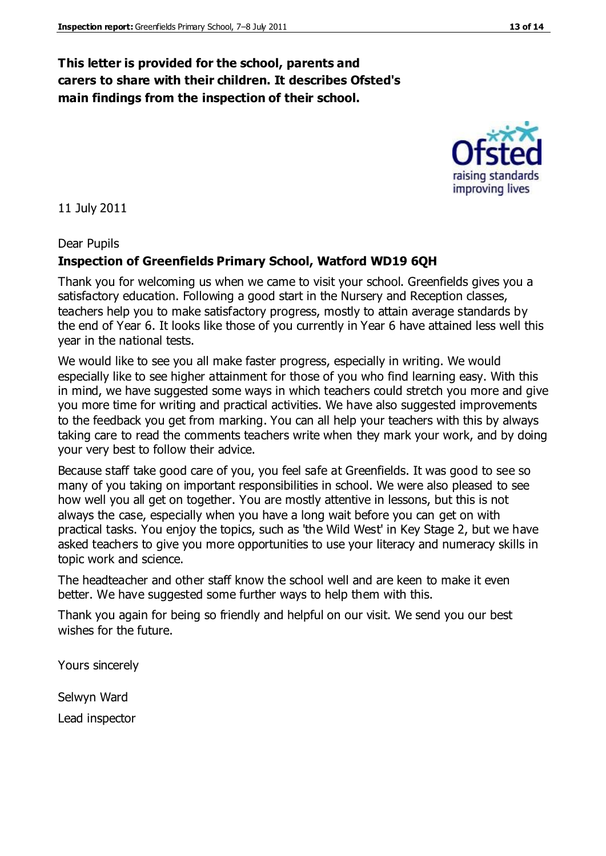#### **This letter is provided for the school, parents and carers to share with their children. It describes Ofsted's main findings from the inspection of their school.**

11 July 2011

Dear Pupils

#### **Inspection of Greenfields Primary School, Watford WD19 6QH**

Thank you for welcoming us when we came to visit your school. Greenfields gives you a satisfactory education. Following a good start in the Nursery and Reception classes, teachers help you to make satisfactory progress, mostly to attain average standards by the end of Year 6. It looks like those of you currently in Year 6 have attained less well this year in the national tests.

We would like to see you all make faster progress, especially in writing. We would especially like to see higher attainment for those of you who find learning easy. With this in mind, we have suggested some ways in which teachers could stretch you more and give you more time for writing and practical activities. We have also suggested improvements to the feedback you get from marking. You can all help your teachers with this by always taking care to read the comments teachers write when they mark your work, and by doing your very best to follow their advice.

Because staff take good care of you, you feel safe at Greenfields. It was good to see so many of you taking on important responsibilities in school. We were also pleased to see how well you all get on together. You are mostly attentive in lessons, but this is not always the case, especially when you have a long wait before you can get on with practical tasks. You enjoy the topics, such as 'the Wild West' in Key Stage 2, but we have asked teachers to give you more opportunities to use your literacy and numeracy skills in topic work and science.

The headteacher and other staff know the school well and are keen to make it even better. We have suggested some further ways to help them with this.

Thank you again for being so friendly and helpful on our visit. We send you our best wishes for the future.

Yours sincerely

Selwyn Ward Lead inspector